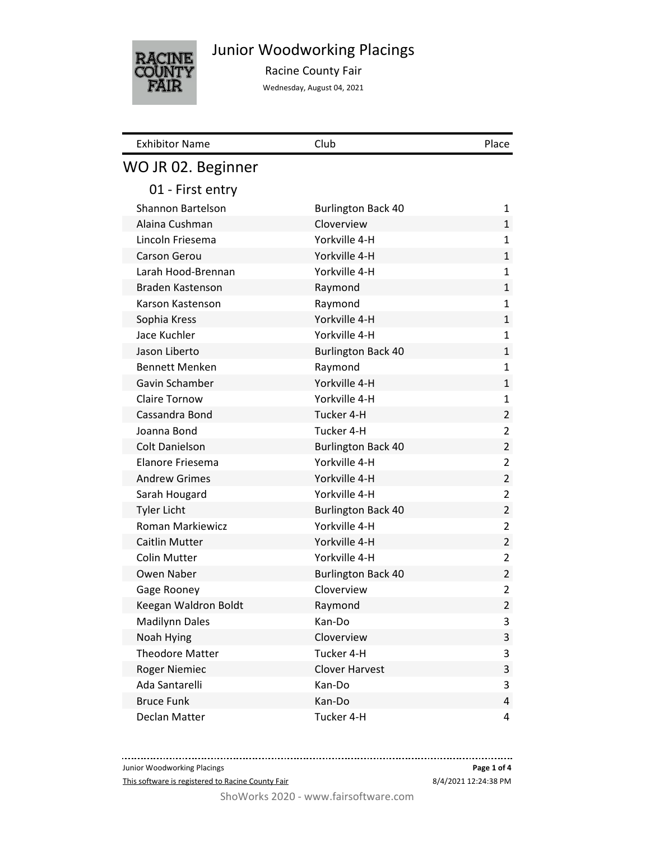

Junior Woodworking Placings

Racine County Fair

Wednesday, August 04, 2021

| <b>Exhibitor Name</b>  | Club                      | Place          |
|------------------------|---------------------------|----------------|
| WO JR 02. Beginner     |                           |                |
| 01 - First entry       |                           |                |
| Shannon Bartelson      | <b>Burlington Back 40</b> | 1              |
| Alaina Cushman         | Cloverview                | $\mathbf{1}$   |
| Lincoln Friesema       | Yorkville 4-H             | 1              |
| Carson Gerou           | Yorkville 4-H             | $\mathbf{1}$   |
| Larah Hood-Brennan     | Yorkville 4-H             | 1              |
| Braden Kastenson       | Raymond                   | $\mathbf{1}$   |
| Karson Kastenson       | Raymond                   | $\mathbf{1}$   |
| Sophia Kress           | Yorkville 4-H             | $\mathbf{1}$   |
| Jace Kuchler           | Yorkville 4-H             | 1              |
| Jason Liberto          | <b>Burlington Back 40</b> | $\mathbf{1}$   |
| <b>Bennett Menken</b>  | Raymond                   | $\mathbf{1}$   |
| Gavin Schamber         | Yorkville 4-H             | $\mathbf{1}$   |
| <b>Claire Tornow</b>   | Yorkville 4-H             | $\mathbf{1}$   |
| Cassandra Bond         | Tucker 4-H                | $\overline{2}$ |
| Joanna Bond            | Tucker 4-H                | 2              |
| <b>Colt Danielson</b>  | <b>Burlington Back 40</b> | $\overline{2}$ |
| Elanore Friesema       | Yorkville 4-H             | 2              |
| <b>Andrew Grimes</b>   | Yorkville 4-H             | $\overline{2}$ |
| Sarah Hougard          | Yorkville 4-H             | 2              |
| <b>Tyler Licht</b>     | <b>Burlington Back 40</b> | 2              |
| Roman Markiewicz       | Yorkville 4-H             | 2              |
| Caitlin Mutter         | Yorkville 4-H             | $\overline{2}$ |
| <b>Colin Mutter</b>    | Yorkville 4-H             | 2              |
| Owen Naber             | <b>Burlington Back 40</b> | $\overline{2}$ |
| Gage Rooney            | Cloverview                | 2              |
| Keegan Waldron Boldt   | Raymond                   | $\overline{2}$ |
| <b>Madilynn Dales</b>  | Kan-Do                    | 3              |
| Noah Hying             | Cloverview                | 3              |
| <b>Theodore Matter</b> | Tucker 4-H                | 3              |
| <b>Roger Niemiec</b>   | <b>Clover Harvest</b>     | 3              |
| Ada Santarelli         | Kan-Do                    | 3              |
| <b>Bruce Funk</b>      | Kan-Do                    | 4              |
| Declan Matter          | Tucker 4-H                | 4              |

Junior Woodworking Placings

This software is registered to Racine County Fair

8/4/2021 12:24:38 PM **Page 1 of 4**

ShoWorks 2020 - www.fairsoftware.com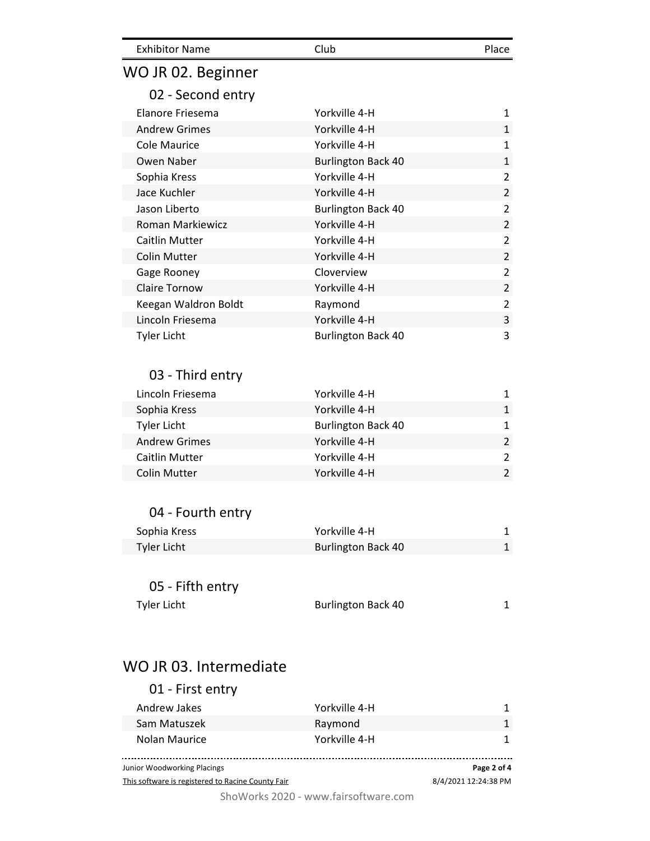| <b>Exhibitor Name</b>  | Club                      | Place          |
|------------------------|---------------------------|----------------|
| WO JR 02. Beginner     |                           |                |
| 02 - Second entry      |                           |                |
| Elanore Friesema       | Yorkville 4-H             | 1              |
| <b>Andrew Grimes</b>   | Yorkville 4-H             | $\mathbf 1$    |
| <b>Cole Maurice</b>    | Yorkville 4-H             | 1              |
| Owen Naber             | <b>Burlington Back 40</b> | $\mathbf{1}$   |
| Sophia Kress           | Yorkville 4-H             | $\overline{2}$ |
| Jace Kuchler           | Yorkville 4-H             | $\overline{2}$ |
| Jason Liberto          | <b>Burlington Back 40</b> | $\overline{2}$ |
| Roman Markiewicz       | Yorkville 4-H             | $\overline{2}$ |
| <b>Caitlin Mutter</b>  | Yorkville 4-H             | $\overline{2}$ |
| <b>Colin Mutter</b>    | Yorkville 4-H             | $\overline{2}$ |
| Gage Rooney            | Cloverview                | $\overline{2}$ |
| <b>Claire Tornow</b>   | Yorkville 4-H             | $\overline{2}$ |
| Keegan Waldron Boldt   | Raymond                   | $\overline{2}$ |
| Lincoln Friesema       | Yorkville 4-H             | 3              |
| <b>Tyler Licht</b>     | <b>Burlington Back 40</b> | 3              |
|                        |                           |                |
| 03 - Third entry       |                           |                |
|                        |                           |                |
| Lincoln Friesema       | Yorkville 4-H             | 1              |
| Sophia Kress           | Yorkville 4-H             | $\mathbf 1$    |
| <b>Tyler Licht</b>     | <b>Burlington Back 40</b> | 1              |
| <b>Andrew Grimes</b>   | Yorkville 4-H             | $\overline{2}$ |
| <b>Caitlin Mutter</b>  | Yorkville 4-H             | 2              |
| <b>Colin Mutter</b>    | Yorkville 4-H             | $\overline{2}$ |
|                        |                           |                |
| 04 - Fourth entry      |                           |                |
| Sophia Kress           | Yorkville 4-H             | 1              |
| <b>Tyler Licht</b>     | <b>Burlington Back 40</b> | $\mathbf{1}$   |
|                        |                           |                |
| 05 - Fifth entry       |                           |                |
| <b>Tyler Licht</b>     | <b>Burlington Back 40</b> | 1              |
|                        |                           |                |
|                        |                           |                |
| WO JR 03. Intermediate |                           |                |
| 01 - First entry       |                           |                |
| Andrew Jakes           | Yorkville 4-H             | 1              |
| Sam Matuszek           | Raymond                   | $\mathbf{1}$   |
| Nolan Maurice          | Yorkville 4-H             | 1              |

**Page 2 of 4** Junior Woodworking Placings 8/4/2021 12:24:38 PM This software is registered to Racine County Fair

ShoWorks 2020 - www.fairsoftware.com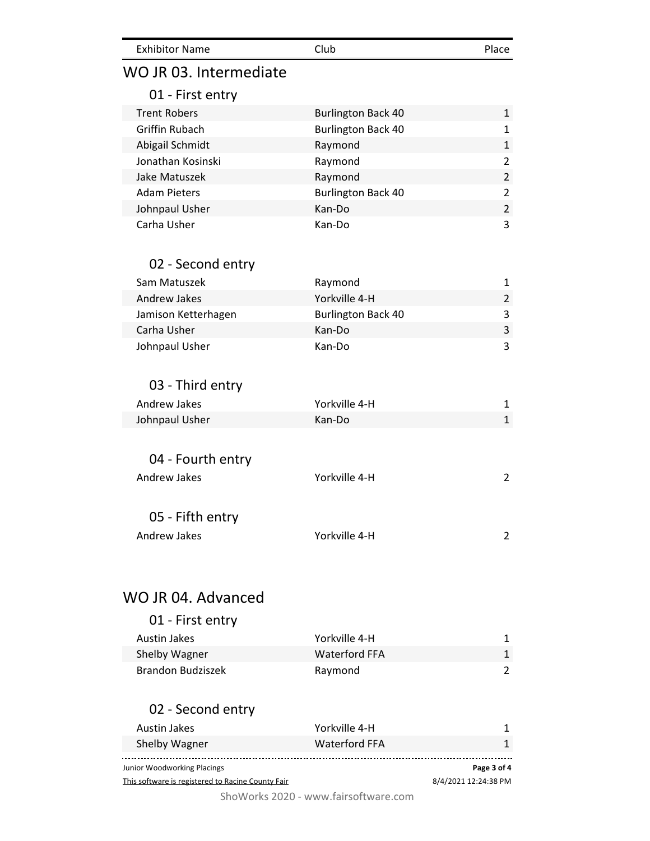| <b>Exhibitor Name</b>                             | Club                               | Place                |
|---------------------------------------------------|------------------------------------|----------------------|
| WO JR 03. Intermediate                            |                                    |                      |
| 01 - First entry                                  |                                    |                      |
| <b>Trent Robers</b>                               | <b>Burlington Back 40</b>          | 1                    |
| <b>Griffin Rubach</b>                             | <b>Burlington Back 40</b>          | 1                    |
| Abigail Schmidt                                   | Raymond                            | 1                    |
| Jonathan Kosinski                                 | Raymond                            | $\overline{2}$       |
| Jake Matuszek                                     | Raymond                            | $\overline{2}$       |
| <b>Adam Pieters</b>                               | <b>Burlington Back 40</b>          | $\overline{2}$       |
| Johnpaul Usher                                    | Kan-Do                             | $\overline{2}$       |
| Carha Usher                                       | Kan-Do                             | 3                    |
| 02 - Second entry                                 |                                    |                      |
| Sam Matuszek                                      | Raymond                            | 1                    |
| <b>Andrew Jakes</b>                               | Yorkville 4-H                      | 2                    |
| Jamison Ketterhagen                               | <b>Burlington Back 40</b>          | 3                    |
| Carha Usher                                       | Kan-Do                             | 3                    |
| Johnpaul Usher                                    | Kan-Do                             | 3                    |
| 03 - Third entry                                  |                                    |                      |
| Andrew Jakes                                      | Yorkville 4-H                      | 1                    |
| Johnpaul Usher                                    | Kan-Do                             | 1                    |
| 04 - Fourth entry                                 |                                    |                      |
| Andrew Jakes                                      | Yorkville 4-H                      | $\overline{2}$       |
|                                                   |                                    |                      |
| 05 - Fifth entry                                  |                                    |                      |
| <b>Andrew Jakes</b>                               | Yorkville 4-H                      | 2                    |
|                                                   |                                    |                      |
| WO JR 04. Advanced                                |                                    |                      |
| 01 - First entry                                  |                                    |                      |
|                                                   |                                    |                      |
| <b>Austin Jakes</b>                               | Yorkville 4-H                      | 1                    |
| Shelby Wagner                                     | <b>Waterford FFA</b>               | 1                    |
| <b>Brandon Budziszek</b>                          | Raymond                            | 2                    |
| 02 - Second entry                                 |                                    |                      |
| <b>Austin Jakes</b>                               | Yorkville 4-H                      | 1                    |
| Shelby Wagner                                     | <b>Waterford FFA</b>               | 1                    |
| Junior Woodworking Placings                       |                                    | Page 3 of 4          |
| This software is registered to Racine County Fair |                                    | 8/4/2021 12:24:38 PM |
|                                                   | $CholMorkc 2020$ uning forceftware |                      |

ShoWorks 2020 - www.fairsoftware.com